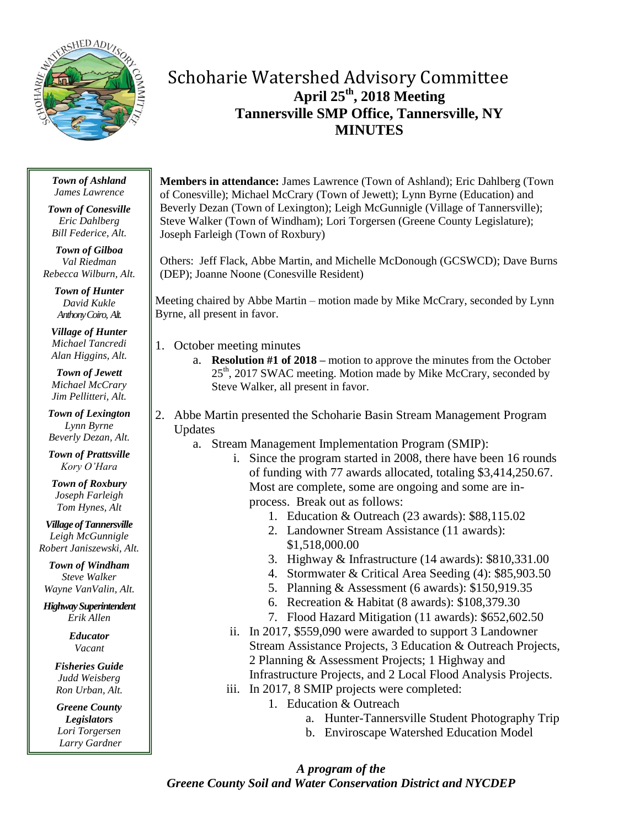

# Schoharie Watershed Advisory Committee **April 25th , 2018 Meeting Tannersville SMP Office, Tannersville, NY MINUTES**

#### *Town of Ashland James Lawrence*

*Town of Conesville Eric Dahlberg Bill Federice, Alt.*

*Town of Gilboa Val Riedman Rebecca Wilburn, Alt.*

> *Town of Hunter David Kukle Anthony Coiro, Alt.*

*Village of Hunter Michael Tancredi Alan Higgins, Alt.*

*Town of Jewett Michael McCrary Jim Pellitteri, Alt.*

*Town of Lexington Lynn Byrne Beverly Dezan, Alt.*

*Town of Prattsville Kory O'Hara*

*Town of Roxbury Joseph Farleigh Tom Hynes, Alt*

*Village of Tannersville Leigh McGunnigle Robert Janiszewski, Alt.*

*Town of Windham Steve Walker Wayne VanValin, Alt.*

*HighwaySuperintendent Erik Allen*

> *Educator Vacant*

*Fisheries Guide Judd Weisberg Ron Urban, Alt.*

*Greene County Legislators Lori Torgersen Larry Gardner* **Members in attendance:** James Lawrence (Town of Ashland); Eric Dahlberg (Town of Conesville); Michael McCrary (Town of Jewett); Lynn Byrne (Education) and Beverly Dezan (Town of Lexington); Leigh McGunnigle (Village of Tannersville); Steve Walker (Town of Windham); Lori Torgersen (Greene County Legislature); Joseph Farleigh (Town of Roxbury)

Others: Jeff Flack, Abbe Martin, and Michelle McDonough (GCSWCD); Dave Burns (DEP); Joanne Noone (Conesville Resident)

Meeting chaired by Abbe Martin – motion made by Mike McCrary, seconded by Lynn Byrne, all present in favor.

- 1. October meeting minutes
	- a. **Resolution #1 of 2018 –** motion to approve the minutes from the October 25<sup>th</sup>, 2017 SWAC meeting. Motion made by Mike McCrary, seconded by Steve Walker, all present in favor.
- 2. Abbe Martin presented the Schoharie Basin Stream Management Program Updates
	- a. Stream Management Implementation Program (SMIP):
		- i. Since the program started in 2008, there have been 16 rounds of funding with 77 awards allocated, totaling \$3,414,250.67. Most are complete, some are ongoing and some are inprocess. Break out as follows:
			- 1. Education & Outreach (23 awards): \$88,115.02
			- 2. Landowner Stream Assistance (11 awards): \$1,518,000.00
			- 3. Highway & Infrastructure (14 awards): \$810,331.00
			- 4. Stormwater & Critical Area Seeding (4): \$85,903.50
			- 5. Planning & Assessment (6 awards): \$150,919.35
			- 6. Recreation & Habitat (8 awards): \$108,379.30
			- 7. Flood Hazard Mitigation (11 awards): \$652,602.50
		- ii. In 2017, \$559,090 were awarded to support 3 Landowner Stream Assistance Projects, 3 Education & Outreach Projects, 2 Planning & Assessment Projects; 1 Highway and Infrastructure Projects, and 2 Local Flood Analysis Projects.
		- iii. In 2017, 8 SMIP projects were completed:
			- 1. Education & Outreach
				- a. Hunter-Tannersville Student Photography Trip
				- b. Enviroscape Watershed Education Model

*A program of the Greene County Soil and Water Conservation District and NYCDEP*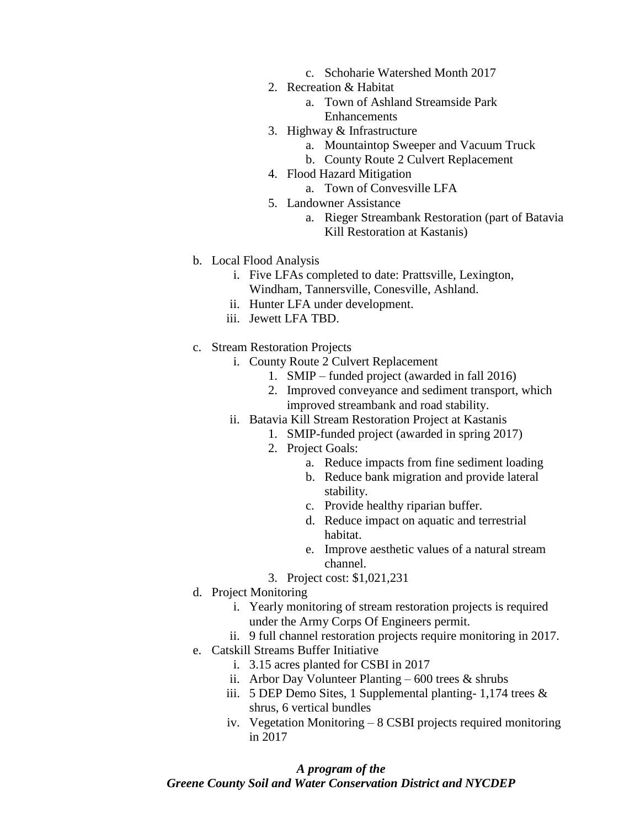- c. Schoharie Watershed Month 2017
- 2. Recreation & Habitat
	- a. Town of Ashland Streamside Park Enhancements
- 3. Highway & Infrastructure
	- a. Mountaintop Sweeper and Vacuum Truck
	- b. County Route 2 Culvert Replacement
- 4. Flood Hazard Mitigation
	- a. Town of Convesville LFA
- 5. Landowner Assistance
	- a. Rieger Streambank Restoration (part of Batavia Kill Restoration at Kastanis)
- b. Local Flood Analysis
	- i. Five LFAs completed to date: Prattsville, Lexington, Windham, Tannersville, Conesville, Ashland.
	- ii. Hunter LFA under development.
	- iii. Jewett LFA TBD.
- c. Stream Restoration Projects
	- i. County Route 2 Culvert Replacement
		- 1. SMIP funded project (awarded in fall 2016)
		- 2. Improved conveyance and sediment transport, which improved streambank and road stability.
	- ii. Batavia Kill Stream Restoration Project at Kastanis
		- 1. SMIP-funded project (awarded in spring 2017)
		- 2. Project Goals:
			- a. Reduce impacts from fine sediment loading
			- b. Reduce bank migration and provide lateral stability.
			- c. Provide healthy riparian buffer.
			- d. Reduce impact on aquatic and terrestrial habitat.
			- e. Improve aesthetic values of a natural stream channel.
		- 3. Project cost: \$1,021,231
- d. Project Monitoring
	- i. Yearly monitoring of stream restoration projects is required under the Army Corps Of Engineers permit.
	- ii. 9 full channel restoration projects require monitoring in 2017.
- e. Catskill Streams Buffer Initiative
	- i. 3.15 acres planted for CSBI in 2017
	- ii. Arbor Day Volunteer Planting  $600$  trees  $\&$  shrubs
	- iii. 5 DEP Demo Sites, 1 Supplemental planting- 1,174 trees & shrus, 6 vertical bundles
	- iv. Vegetation Monitoring 8 CSBI projects required monitoring in 2017

#### *A program of the*

# *Greene County Soil and Water Conservation District and NYCDEP*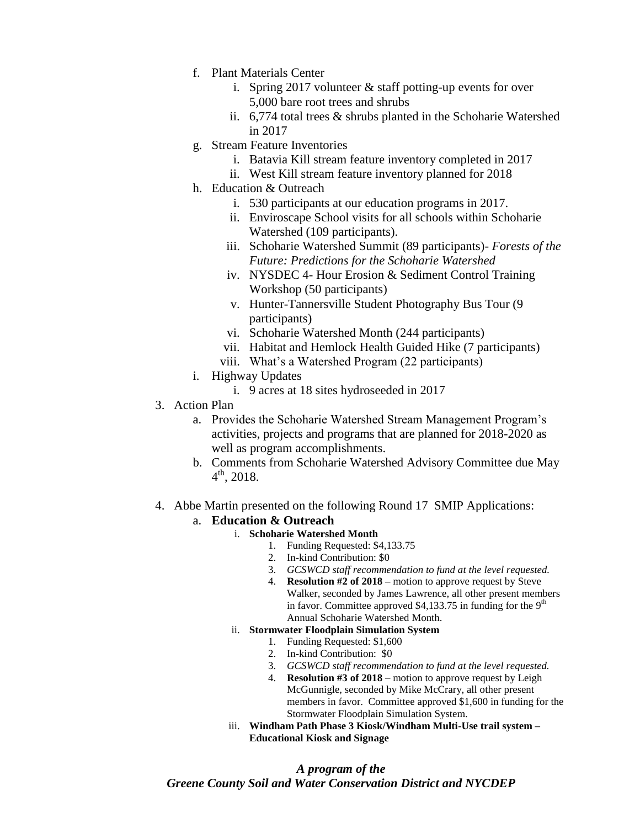- f. Plant Materials Center
	- i. Spring 2017 volunteer & staff potting-up events for over 5,000 bare root trees and shrubs
	- ii. 6,774 total trees & shrubs planted in the Schoharie Watershed in 2017
- g. Stream Feature Inventories
	- i. Batavia Kill stream feature inventory completed in 2017
	- ii. West Kill stream feature inventory planned for 2018
- h. Education & Outreach
	- i. 530 participants at our education programs in 2017.
	- ii. Enviroscape School visits for all schools within Schoharie Watershed (109 participants).
	- iii. Schoharie Watershed Summit (89 participants)- *Forests of the Future: Predictions for the Schoharie Watershed*
	- iv. NYSDEC 4- Hour Erosion & Sediment Control Training Workshop (50 participants)
	- v. Hunter-Tannersville Student Photography Bus Tour (9 participants)
	- vi. Schoharie Watershed Month (244 participants)
	- vii. Habitat and Hemlock Health Guided Hike (7 participants)
	- viii. What's a Watershed Program (22 participants)
- i. Highway Updates
	- i. 9 acres at 18 sites hydroseeded in 2017
- 3. Action Plan
	- a. Provides the Schoharie Watershed Stream Management Program's activities, projects and programs that are planned for 2018-2020 as well as program accomplishments.
	- b. Comments from Schoharie Watershed Advisory Committee due May  $4^{\text{th}}$ , 2018.
- 4. Abbe Martin presented on the following Round 17 SMIP Applications:

# a. **Education & Outreach**

- i. **Schoharie Watershed Month**
	- 1. Funding Requested: \$4,133.75
		- 2. In-kind Contribution: \$0
	- 3. *GCSWCD staff recommendation to fund at the level requested.*
	- 4. **Resolution #2 of 2018 –** motion to approve request by Steve Walker, seconded by James Lawrence, all other present members in favor. Committee approved \$4,133.75 in funding for the  $9<sup>th</sup>$ Annual Schoharie Watershed Month.

# ii. **Stormwater Floodplain Simulation System**

- 1. Funding Requested: \$1,600
- 2. In-kind Contribution: \$0
- 3. *GCSWCD staff recommendation to fund at the level requested.*
- 4. **Resolution #3 of 2018** motion to approve request by Leigh McGunnigle, seconded by Mike McCrary, all other present members in favor. Committee approved \$1,600 in funding for the Stormwater Floodplain Simulation System.
- iii. **Windham Path Phase 3 Kiosk/Windham Multi-Use trail system – Educational Kiosk and Signage**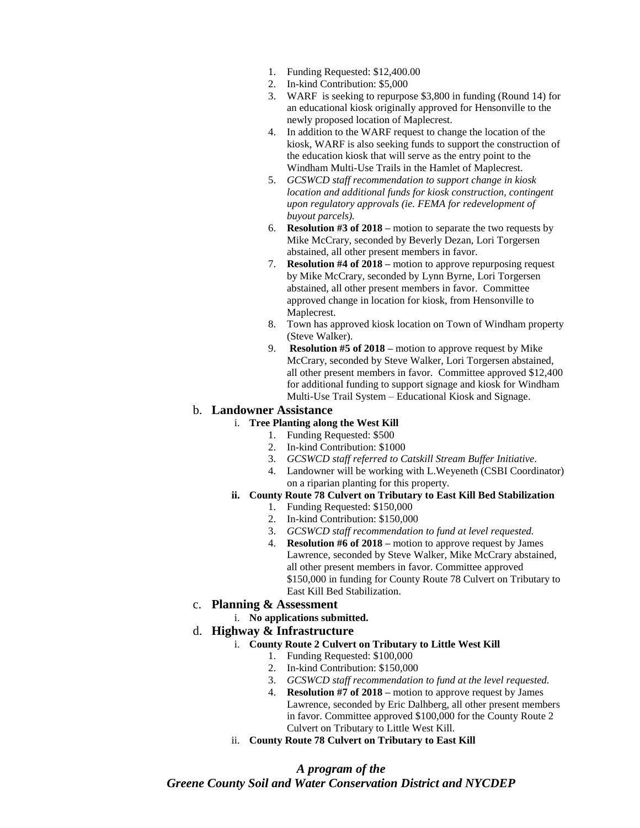- 1. Funding Requested: \$12,400.00
- 2. In-kind Contribution: \$5,000
- 3. WARF is seeking to repurpose \$3,800 in funding (Round 14) for an educational kiosk originally approved for Hensonville to the newly proposed location of Maplecrest.
- 4. In addition to the WARF request to change the location of the kiosk, WARF is also seeking funds to support the construction of the education kiosk that will serve as the entry point to the Windham Multi-Use Trails in the Hamlet of Maplecrest.
- 5. *GCSWCD staff recommendation to support change in kiosk location and additional funds for kiosk construction, contingent upon regulatory approvals (ie. FEMA for redevelopment of buyout parcels).*
- 6. **Resolution #3 of 2018 –** motion to separate the two requests by Mike McCrary, seconded by Beverly Dezan, Lori Torgersen abstained, all other present members in favor.
- 7. **Resolution #4 of 2018 –** motion to approve repurposing request by Mike McCrary, seconded by Lynn Byrne, Lori Torgersen abstained, all other present members in favor. Committee approved change in location for kiosk, from Hensonville to Maplecrest.
- 8. Town has approved kiosk location on Town of Windham property (Steve Walker).
- 9. **Resolution #5 of 2018 –** motion to approve request by Mike McCrary, seconded by Steve Walker, Lori Torgersen abstained, all other present members in favor. Committee approved \$12,400 for additional funding to support signage and kiosk for Windham Multi-Use Trail System – Educational Kiosk and Signage.

## b. **Landowner Assistance**

## i. **Tree Planting along the West Kill**

- 1. Funding Requested: \$500
- 2. In-kind Contribution: \$1000
- 3. *GCSWCD staff referred to Catskill Stream Buffer Initiative.*
- 4. Landowner will be working with L.Weyeneth (CSBI Coordinator) on a riparian planting for this property.

# **ii. County Route 78 Culvert on Tributary to East Kill Bed Stabilization**

- 1. Funding Requested: \$150,000
- 2. In-kind Contribution: \$150,000
- 3. *GCSWCD staff recommendation to fund at level requested.*
- 4. **Resolution #6 of 2018 –** motion to approve request by James Lawrence, seconded by Steve Walker, Mike McCrary abstained, all other present members in favor. Committee approved \$150,000 in funding for County Route 78 Culvert on Tributary to East Kill Bed Stabilization.

#### c. **Planning & Assessment**

i. **No applications submitted.**

#### d. **Highway & Infrastructure**

- i. **County Route 2 Culvert on Tributary to Little West Kill**
	- 1. Funding Requested: \$100,000
	- 2. In-kind Contribution: \$150,000
	- 3. *GCSWCD staff recommendation to fund at the level requested.*
	- 4. **Resolution #7 of 2018 –** motion to approve request by James Lawrence, seconded by Eric Dalhberg, all other present members in favor. Committee approved \$100,000 for the County Route 2 Culvert on Tributary to Little West Kill.
- ii. **County Route 78 Culvert on Tributary to East Kill**

# *A program of the Greene County Soil and Water Conservation District and NYCDEP*